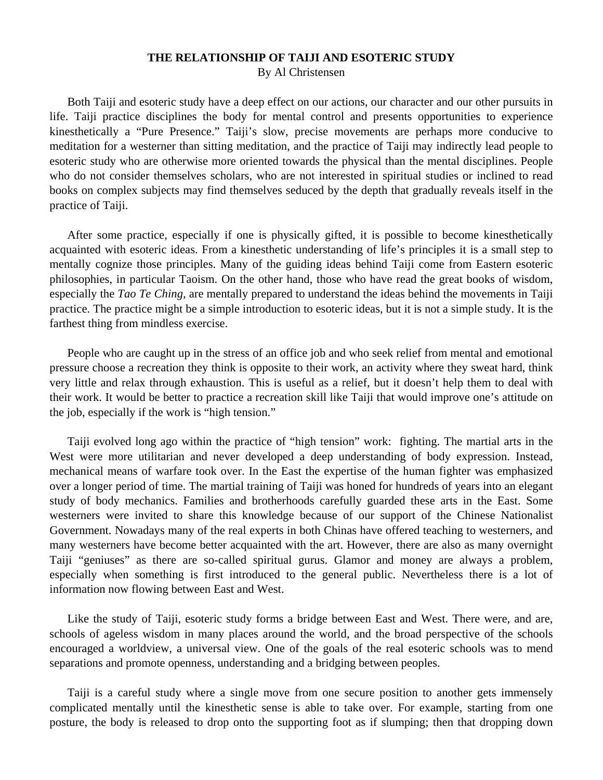## **THE RELATIONSHIP OF TAIJI AND ESOTERIC STUDY**

By Al Christensen

 Both Taiji and esoteric study have a deep effect on our actions, our character and our other pursuits in life. Taiji practice disciplines the body for mental control and presents opportunities to experience kinesthetically a "Pure Presence." Taiji's slow, precise movements are perhaps more conducive to meditation for a westerner than sitting meditation, and the practice of Taiji may indirectly lead people to esoteric study who are otherwise more oriented towards the physical than the mental disciplines. People who do not consider themselves scholars, who are not interested in spiritual studies or inclined to read books on complex subjects may find themselves seduced by the depth that gradually reveals itself in the practice of Taiji.

 After some practice, especially if one is physically gifted, it is possible to become kinesthetically acquainted with esoteric ideas. From a kinesthetic understanding of life's principles it is a small step to mentally cognize those principles. Many of the guiding ideas behind Taiji come from Eastern esoteric philosophies, in particular Taoism. On the other hand, those who have read the great books of wisdom, especially the *Tao Te Ching,* are mentally prepared to understand the ideas behind the movements in Taiji practice. The practice might be a simple introduction to esoteric ideas, but it is not a simple study. It is the farthest thing from mindless exercise.

 People who are caught up in the stress of an office job and who seek relief from mental and emotional pressure choose a recreation they think is opposite to their work, an activity where they sweat hard, think very little and relax through exhaustion. This is useful as a relief, but it doesn't help them to deal with their work. It would be better to practice a recreation skill like Taiji that would improve one's attitude on the job, especially if the work is "high tension."

 Taiji evolved long ago within the practice of "high tension" work: fighting. The martial arts in the West were more utilitarian and never developed a deep understanding of body expression. Instead, mechanical means of warfare took over. In the East the expertise of the human fighter was emphasized over a longer period of time. The martial training of Taiji was honed for hundreds of years into an elegant study of body mechanics. Families and brotherhoods carefully guarded these arts in the East. Some westerners were invited to share this knowledge because of our support of the Chinese Nationalist Government. Nowadays many of the real experts in both Chinas have offered teaching to westerners, and many westerners have become better acquainted with the art. However, there are also as many overnight Taiji "geniuses" as there are so-called spiritual gurus. Glamor and money are always a problem, especially when something is first introduced to the general public. Nevertheless there is a lot of information now flowing between East and West.

 Like the study of Taiji, esoteric study forms a bridge between East and West. There were, and are, schools of ageless wisdom in many places around the world, and the broad perspective of the schools encouraged a worldview, a universal view. One of the goals of the real esoteric schools was to mend separations and promote openness, understanding and a bridging between peoples.

 Taiji is a careful study where a single move from one secure position to another gets immensely complicated mentally until the kinesthetic sense is able to take over. For example, starting from one posture, the body is released to drop onto the supporting foot as if slumping; then that dropping down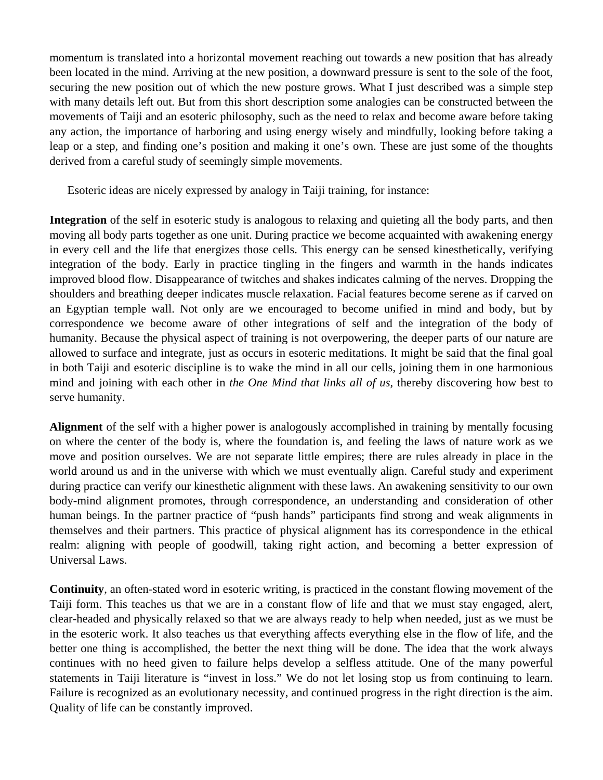momentum is translated into a horizontal movement reaching out towards a new position that has already been located in the mind. Arriving at the new position, a downward pressure is sent to the sole of the foot, securing the new position out of which the new posture grows. What I just described was a simple step with many details left out. But from this short description some analogies can be constructed between the movements of Taiji and an esoteric philosophy, such as the need to relax and become aware before taking any action, the importance of harboring and using energy wisely and mindfully, looking before taking a leap or a step, and finding one's position and making it one's own. These are just some of the thoughts derived from a careful study of seemingly simple movements.

Esoteric ideas are nicely expressed by analogy in Taiji training, for instance:

**Integration** of the self in esoteric study is analogous to relaxing and quieting all the body parts, and then moving all body parts together as one unit. During practice we become acquainted with awakening energy in every cell and the life that energizes those cells. This energy can be sensed kinesthetically, verifying integration of the body. Early in practice tingling in the fingers and warmth in the hands indicates improved blood flow. Disappearance of twitches and shakes indicates calming of the nerves. Dropping the shoulders and breathing deeper indicates muscle relaxation. Facial features become serene as if carved on an Egyptian temple wall. Not only are we encouraged to become unified in mind and body, but by correspondence we become aware of other integrations of self and the integration of the body of humanity. Because the physical aspect of training is not overpowering, the deeper parts of our nature are allowed to surface and integrate, just as occurs in esoteric meditations. It might be said that the final goal in both Taiji and esoteric discipline is to wake the mind in all our cells, joining them in one harmonious mind and joining with each other in *the One Mind that links all of us,* thereby discovering how best to serve humanity.

**Alignment** of the self with a higher power is analogously accomplished in training by mentally focusing on where the center of the body is, where the foundation is, and feeling the laws of nature work as we move and position ourselves. We are not separate little empires; there are rules already in place in the world around us and in the universe with which we must eventually align. Careful study and experiment during practice can verify our kinesthetic alignment with these laws. An awakening sensitivity to our own body-mind alignment promotes, through correspondence, an understanding and consideration of other human beings. In the partner practice of "push hands" participants find strong and weak alignments in themselves and their partners. This practice of physical alignment has its correspondence in the ethical realm: aligning with people of goodwill, taking right action, and becoming a better expression of Universal Laws.

**Continuity**, an often-stated word in esoteric writing, is practiced in the constant flowing movement of the Taiji form. This teaches us that we are in a constant flow of life and that we must stay engaged, alert, clear-headed and physically relaxed so that we are always ready to help when needed, just as we must be in the esoteric work. It also teaches us that everything affects everything else in the flow of life, and the better one thing is accomplished, the better the next thing will be done. The idea that the work always continues with no heed given to failure helps develop a selfless attitude. One of the many powerful statements in Taiji literature is "invest in loss." We do not let losing stop us from continuing to learn. Failure is recognized as an evolutionary necessity, and continued progress in the right direction is the aim. Quality of life can be constantly improved.